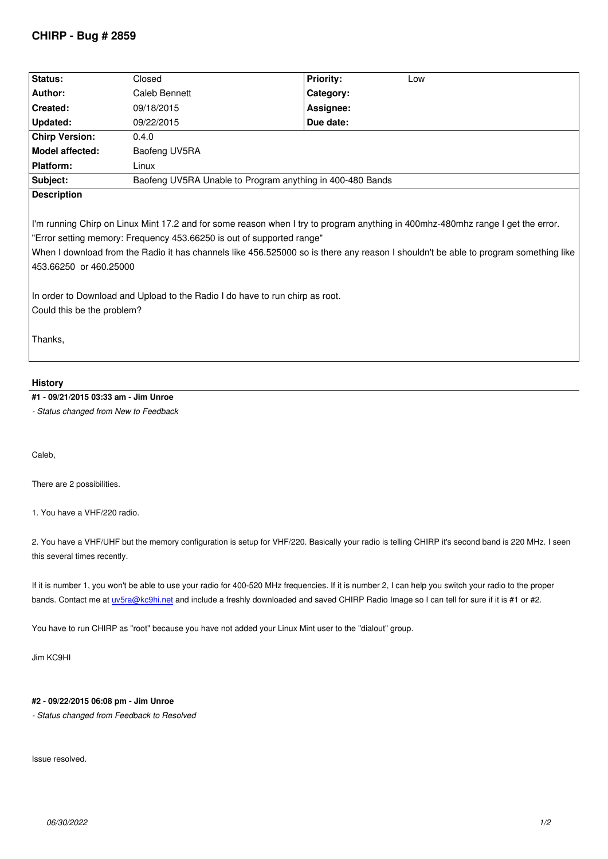| Status:                                                                                                                                                                                                                                                                                                                                                                                                                                                                                 | Closed                                                    | <b>Priority:</b><br>Low |
|-----------------------------------------------------------------------------------------------------------------------------------------------------------------------------------------------------------------------------------------------------------------------------------------------------------------------------------------------------------------------------------------------------------------------------------------------------------------------------------------|-----------------------------------------------------------|-------------------------|
| Author:                                                                                                                                                                                                                                                                                                                                                                                                                                                                                 | Caleb Bennett                                             | Category:               |
| Created:                                                                                                                                                                                                                                                                                                                                                                                                                                                                                | 09/18/2015                                                | Assignee:               |
| Updated:                                                                                                                                                                                                                                                                                                                                                                                                                                                                                | 09/22/2015                                                | Due date:               |
| <b>Chirp Version:</b>                                                                                                                                                                                                                                                                                                                                                                                                                                                                   | 0.4.0                                                     |                         |
| <b>Model affected:</b>                                                                                                                                                                                                                                                                                                                                                                                                                                                                  | Baofeng UV5RA                                             |                         |
| <b>Platform:</b>                                                                                                                                                                                                                                                                                                                                                                                                                                                                        | Linux                                                     |                         |
| Subject:                                                                                                                                                                                                                                                                                                                                                                                                                                                                                | Baofeng UV5RA Unable to Program anything in 400-480 Bands |                         |
| <b>Description</b>                                                                                                                                                                                                                                                                                                                                                                                                                                                                      |                                                           |                         |
| I'm running Chirp on Linux Mint 17.2 and for some reason when I try to program anything in 400mhz-480mhz range I get the error.<br>"Error setting memory: Frequency 453.66250 is out of supported range"<br>When I download from the Radio it has channels like 456.525000 so is there any reason I shouldn't be able to program something like<br>453.66250 or 460.25000<br>In order to Download and Upload to the Radio I do have to run chirp as root.<br>Could this be the problem? |                                                           |                         |
| Thanks,                                                                                                                                                                                                                                                                                                                                                                                                                                                                                 |                                                           |                         |

## **History**

## **#1 - 09/21/2015 03:33 am - Jim Unroe**

*- Status changed from New to Feedback*

*Caleb,*

*There are 2 possibilities.*

*1. You have a VHF/220 radio.*

*2. You have a VHF/UHF but the memory configuration is setup for VHF/220. Basically your radio is telling CHIRP it's second band is 220 MHz. I seen this several times recently.*

*If it is number 1, you won't be able to use your radio for 400-520 MHz frequencies. If it is number 2, I can help you switch your radio to the proper bands. Contact me at uv5ra@kc9hi.net and include a freshly downloaded and saved CHIRP Radio Image so I can tell for sure if it is #1 or #2.*

*You have to run CHIRP as "root" because you have not added your Linux Mint user to the "dialout" group.*

*Jim KC9HI*

## **#2 - 09/22/2015 06:08 pm - Jim Unroe**

*- Status changed from Feedback to Resolved*

*Issue resolved.*